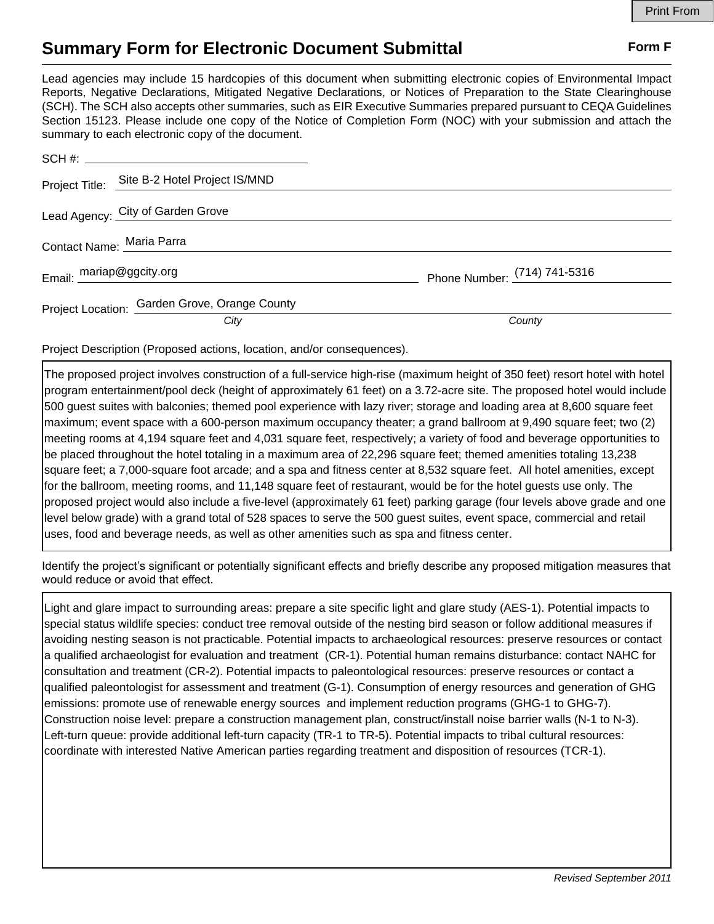## **Summary Form for Electronic Document Submittal Form F Form F**

Lead agencies may include 15 hardcopies of this document when submitting electronic copies of Environmental Impact Reports, Negative Declarations, Mitigated Negative Declarations, or Notices of Preparation to the State Clearinghouse (SCH). The SCH also accepts other summaries, such as EIR Executive Summaries prepared pursuant to CEQA Guidelines Section 15123. Please include one copy of the Notice of Completion Form (NOC) with your submission and attach the summary to each electronic copy of the document.

|                           | Project Title: Site B-2 Hotel Project IS/MND  |                                |
|---------------------------|-----------------------------------------------|--------------------------------|
|                           | Lead Agency: City of Garden Grove             |                                |
| Contact Name: Maria Parra |                                               |                                |
| Email: mariap@ggcity.org  |                                               | Phone Number: $(714)$ 741-5316 |
|                           | Project Location: Garden Grove, Orange County |                                |
|                           | City                                          | County                         |

Project Description (Proposed actions, location, and/or consequences).

The proposed project involves construction of a full-service high-rise (maximum height of 350 feet) resort hotel with hotel program entertainment/pool deck (height of approximately 61 feet) on a 3.72-acre site. The proposed hotel would include 500 guest suites with balconies; themed pool experience with lazy river; storage and loading area at 8,600 square feet maximum; event space with a 600-person maximum occupancy theater; a grand ballroom at 9,490 square feet; two (2) meeting rooms at 4,194 square feet and 4,031 square feet, respectively; a variety of food and beverage opportunities to be placed throughout the hotel totaling in a maximum area of 22,296 square feet; themed amenities totaling 13,238 square feet; a 7,000-square foot arcade; and a spa and fitness center at 8,532 square feet. All hotel amenities, except for the ballroom, meeting rooms, and 11,148 square feet of restaurant, would be for the hotel guests use only. The proposed project would also include a five-level (approximately 61 feet) parking garage (four levels above grade and one level below grade) with a grand total of 528 spaces to serve the 500 guest suites, event space, commercial and retail uses, food and beverage needs, as well as other amenities such as spa and fitness center.

Identify the project's significant or potentially significant effects and briefly describe any proposed mitigation measures that would reduce or avoid that effect.

Light and glare impact to surrounding areas: prepare a site specific light and glare study (AES-1). Potential impacts to special status wildlife species: conduct tree removal outside of the nesting bird season or follow additional measures if avoiding nesting season is not practicable. Potential impacts to archaeological resources: preserve resources or contact a qualified archaeologist for evaluation and treatment (CR-1). Potential human remains disturbance: contact NAHC for consultation and treatment (CR-2). Potential impacts to paleontological resources: preserve resources or contact a qualified paleontologist for assessment and treatment (G-1). Consumption of energy resources and generation of GHG emissions: promote use of renewable energy sources and implement reduction programs (GHG-1 to GHG-7). Construction noise level: prepare a construction management plan, construct/install noise barrier walls (N-1 to N-3). Left-turn queue: provide additional left-turn capacity (TR-1 to TR-5). Potential impacts to tribal cultural resources: coordinate with interested Native American parties regarding treatment and disposition of resources (TCR-1).